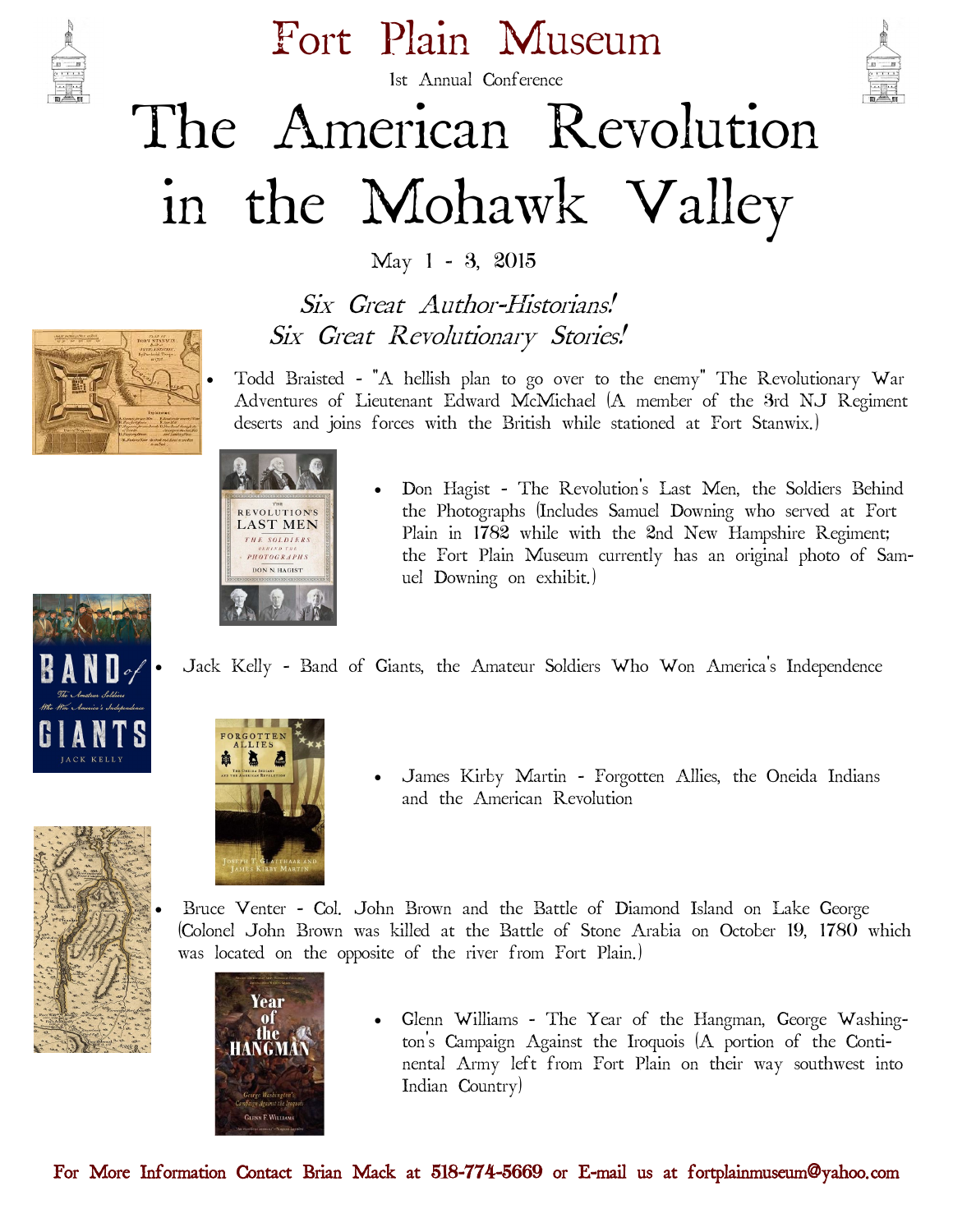

Fort Plain Museum



# 1st Annual Conference The American Revolution in the Mohawk Valley

May 1 - 3, 2015

 Six Great Author-Historians! Six Great Revolutionary Stories!

 Todd Braisted - "A hellish plan to go over to the enemy" The Revolutionary War Adventures of Lieutenant Edward McMichael (A member of the 3rd NJ Regiment deserts and joins forces with the British while stationed at Fort Stanwix.)



 Don Hagist - The Revolution's Last Men, the Soldiers Behind the Photographs (Includes Samuel Downing who served at Fort Plain in 1782 while with the 2nd New Hampshire Regiment; the Fort Plain Museum currently has an original photo of Samuel Downing on exhibit.)

Jack Kelly - Band of Giants, the Amateur Soldiers Who Won America's Independence





 James Kirby Martin - Forgotten Allies, the Oneida Indians and the American Revolution

 Bruce Venter - Col. John Brown and the Battle of Diamond Island on Lake George (Colonel John Brown was killed at the Battle of Stone Arabia on October 19, 1780 which was located on the opposite of the river from Fort Plain.)



 Glenn Williams - The Year of the Hangman, George Washington's Campaign Against the Iroquois (A portion of the Continental Army left from Fort Plain on their way southwest into Indian Country)

For More Information Contact Brian Mack at 518-774-5669 or E-mail us at fortplainmuseum@yahoo.com

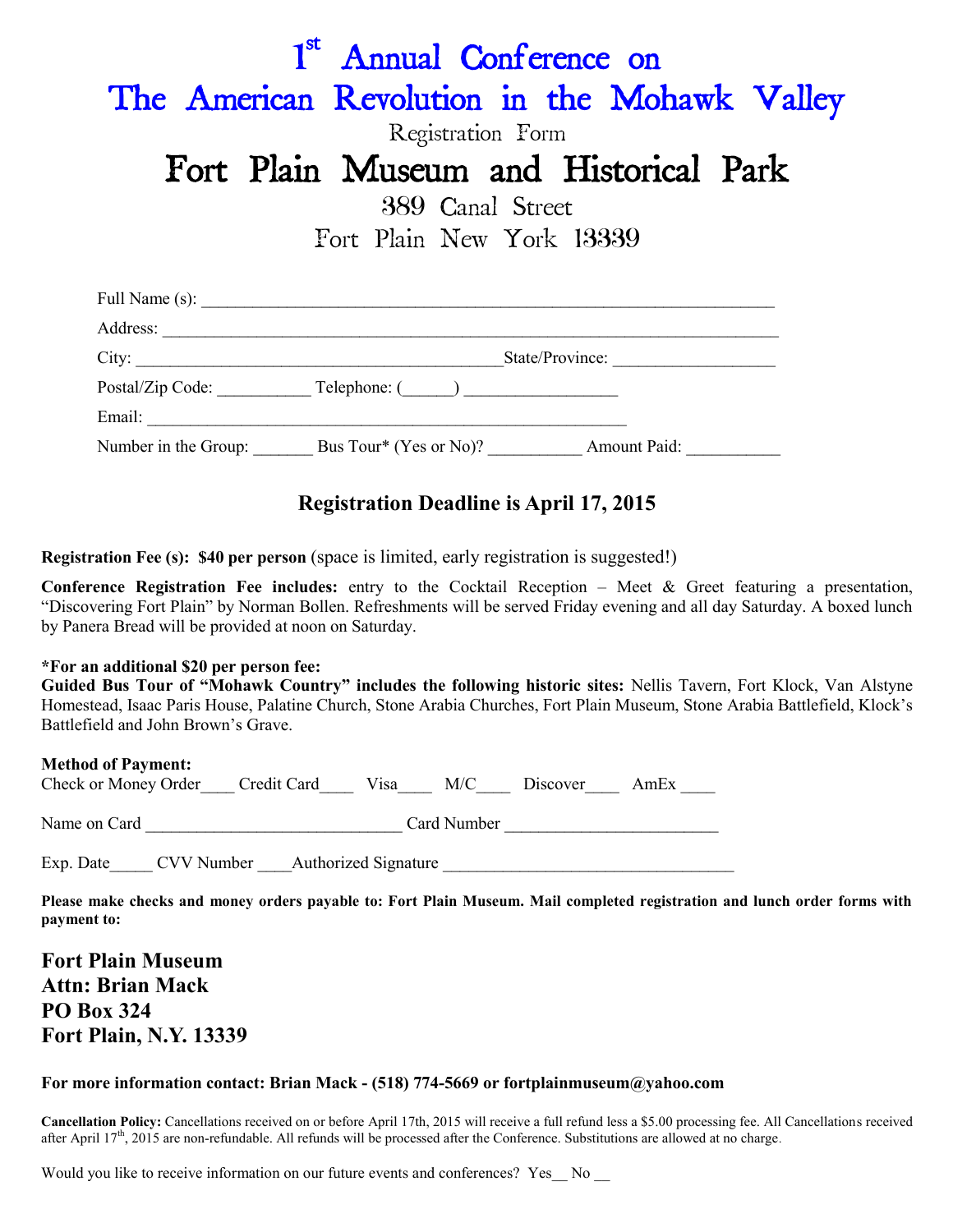| 1 <sup>st</sup> Annual Conference on<br>The American Revolution in the Mohawk Valley<br>Registration Form |                                                                                                                                                                                                                                |  |  |  |  |  |  |
|-----------------------------------------------------------------------------------------------------------|--------------------------------------------------------------------------------------------------------------------------------------------------------------------------------------------------------------------------------|--|--|--|--|--|--|
|                                                                                                           | Fort Plain Museum and Historical Park                                                                                                                                                                                          |  |  |  |  |  |  |
| 389 Canal Street<br>Fort Plain New York 13339                                                             |                                                                                                                                                                                                                                |  |  |  |  |  |  |
|                                                                                                           |                                                                                                                                                                                                                                |  |  |  |  |  |  |
|                                                                                                           |                                                                                                                                                                                                                                |  |  |  |  |  |  |
|                                                                                                           | City: State/Province:                                                                                                                                                                                                          |  |  |  |  |  |  |
|                                                                                                           |                                                                                                                                                                                                                                |  |  |  |  |  |  |
|                                                                                                           | Email: The contract of the contract of the contract of the contract of the contract of the contract of the contract of the contract of the contract of the contract of the contract of the contract of the contract of the con |  |  |  |  |  |  |
|                                                                                                           |                                                                                                                                                                                                                                |  |  |  |  |  |  |

### **Registration Deadline is April 17, 2015**

**Registration Fee (s): \$40 per person** (space is limited, early registration is suggested!)

**Conference Registration Fee includes:** entry to the Cocktail Reception – Meet & Greet featuring a presentation, "Discovering Fort Plain" by Norman Bollen. Refreshments will be served Friday evening and all day Saturday. A boxed lunch by Panera Bread will be provided at noon on Saturday.

#### **\*For an additional \$20 per person fee:**

**Guided Bus Tour of "Mohawk Country" includes the following historic sites:** Nellis Tavern, Fort Klock, Van Alstyne Homestead, Isaac Paris House, Palatine Church, Stone Arabia Churches, Fort Plain Museum, Stone Arabia Battlefield, Klock's Battlefield and John Brown's Grave.

#### **Method of Payment:**

| Check or Money Order Credit Card Visa M/C Discover AmEx |  |  |  |
|---------------------------------------------------------|--|--|--|
|                                                         |  |  |  |
|                                                         |  |  |  |

Name on Card **Card Card Card Number Card Number**  $\alpha$ 

Exp. Date CVV Number Authorized Signature

**Please make checks and money orders payable to: Fort Plain Museum. Mail completed registration and lunch order forms with payment to:**

**Fort Plain Museum Attn: Brian Mack PO Box 324 Fort Plain, N.Y. 13339**

#### **For more information contact: Brian Mack - (518) 774-5669 or fortplainmuseum@yahoo.com**

**Cancellation Policy:** Cancellations received on or before April 17th, 2015 will receive a full refund less a \$5.00 processing fee. All Cancellations received after April  $17<sup>th</sup>$ , 2015 are non-refundable. All refunds will be processed after the Conference. Substitutions are allowed at no charge.

Would you like to receive information on our future events and conferences? Yes \_\_ No